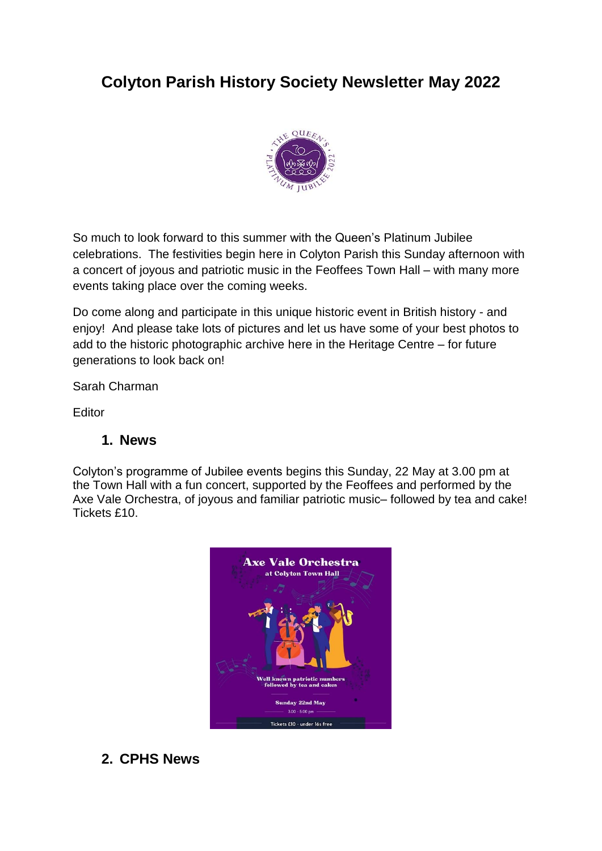# **Colyton Parish History Society Newsletter May 2022**



So much to look forward to this summer with the Queen's Platinum Jubilee celebrations. The festivities begin here in Colyton Parish this Sunday afternoon with a concert of joyous and patriotic music in the Feoffees Town Hall – with many more events taking place over the coming weeks.

Do come along and participate in this unique historic event in British history - and enjoy! And please take lots of pictures and let us have some of your best photos to add to the historic photographic archive here in the Heritage Centre – for future generations to look back on!

Sarah Charman

**Editor** 

#### **1. News**

Colyton's programme of Jubilee events begins this Sunday, 22 May at 3.00 pm at the Town Hall with a fun concert, supported by the Feoffees and performed by the Axe Vale Orchestra, of joyous and familiar patriotic music– followed by tea and cake! Tickets £10.



#### **2. CPHS News**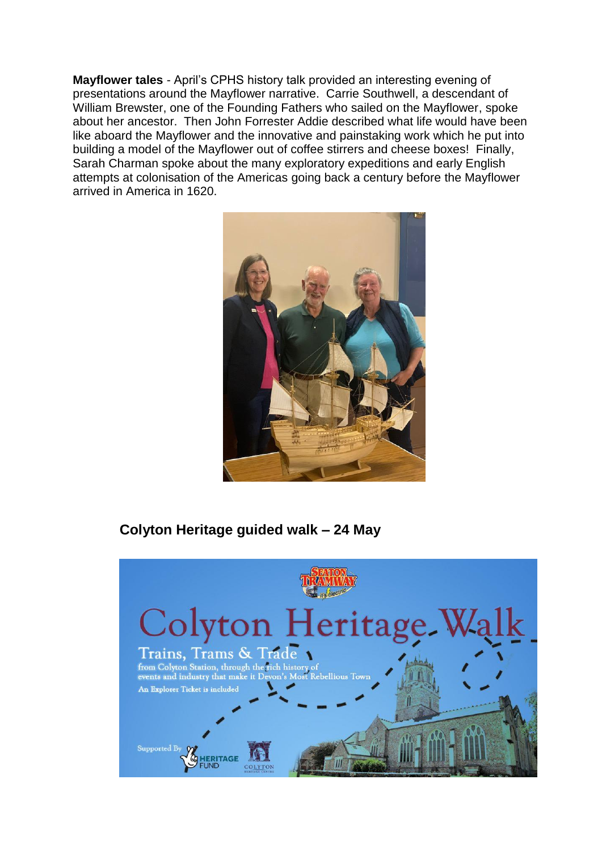**Mayflower tales** - April's CPHS history talk provided an interesting evening of presentations around the Mayflower narrative. Carrie Southwell, a descendant of William Brewster, one of the Founding Fathers who sailed on the Mayflower, spoke about her ancestor. Then John Forrester Addie described what life would have been like aboard the Mayflower and the innovative and painstaking work which he put into building a model of the Mayflower out of coffee stirrers and cheese boxes! Finally, Sarah Charman spoke about the many exploratory expeditions and early English attempts at colonisation of the Americas going back a century before the Mayflower arrived in America in 1620.



### **Colyton Heritage guided walk – 24 May**

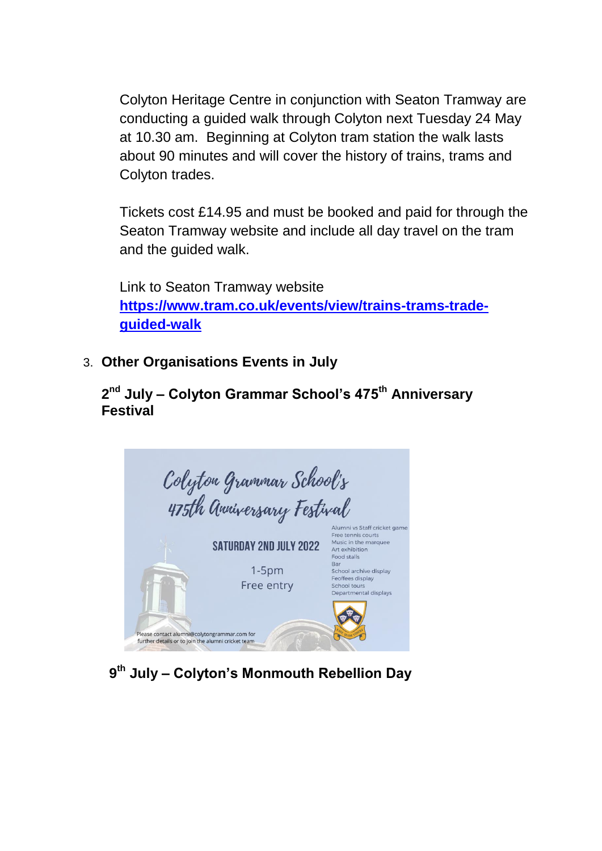Colyton Heritage Centre in conjunction with Seaton Tramway are conducting a guided walk through Colyton next Tuesday 24 May at 10.30 am. Beginning at Colyton tram station the walk lasts about 90 minutes and will cover the history of trains, trams and Colyton trades.

Tickets cost £14.95 and must be booked and paid for through the Seaton Tramway website and include all day travel on the tram and the guided walk.

Link to Seaton Tramway website **[https://www.tram.co.uk/events/view/trains-trams-trade](https://www.tram.co.uk/events/view/trains-trams-trade-guided-walk)[guided-walk](https://www.tram.co.uk/events/view/trains-trams-trade-guided-walk)**

## 3. **Other Organisations Events in July**

### **2 nd July – Colyton Grammar School's 475th Anniversary Festival**

| Colyton Grammar School's<br>475th Anniversary Festival |                               |                                                                                                             |
|--------------------------------------------------------|-------------------------------|-------------------------------------------------------------------------------------------------------------|
|                                                        | <b>SATURDAY 2ND JULY 2022</b> | Alumni vs Staff cricket game<br>Free tennis courts<br>Music in the marquee<br>Art exhibition<br>Food stalls |
|                                                        | $1-5pm$<br>Free entry         | Bar<br>School archive display<br>Feoffees display<br>School tours<br>Departmental displays                  |
| Please contact alumni@colytongrammar.com for           |                               |                                                                                                             |

**9 th July – Colyton's Monmouth Rebellion Day**